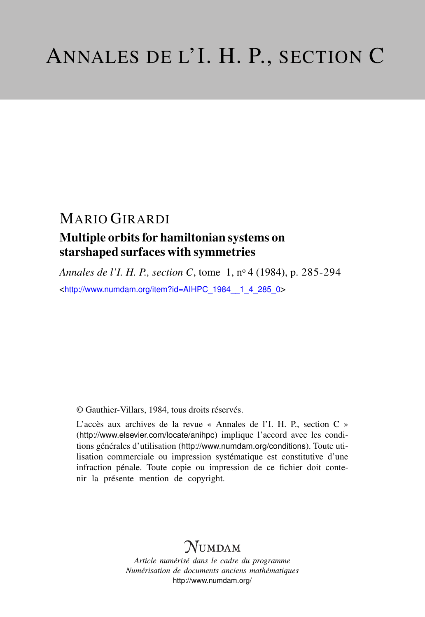## MARIO GIRARDI

### Multiple orbits for hamiltonian systems on starshaped surfaces with symmetries

*Annales de l'I. H. P., section C*, tome 1, n<sup>o</sup> 4 (1984), p. 285-294 <[http://www.numdam.org/item?id=AIHPC\\_1984\\_\\_1\\_4\\_285\\_0](http://www.numdam.org/item?id=AIHPC_1984__1_4_285_0)>

© Gauthier-Villars, 1984, tous droits réservés.

L'accès aux archives de la revue « Annales de l'I. H. P., section C » (<http://www.elsevier.com/locate/anihpc>) implique l'accord avec les conditions générales d'utilisation (<http://www.numdam.org/conditions>). Toute utilisation commerciale ou impression systématique est constitutive d'une infraction pénale. Toute copie ou impression de ce fichier doit contenir la présente mention de copyright.

# $N$ UMDAM

*Article numérisé dans le cadre du programme Numérisation de documents anciens mathématiques* <http://www.numdam.org/>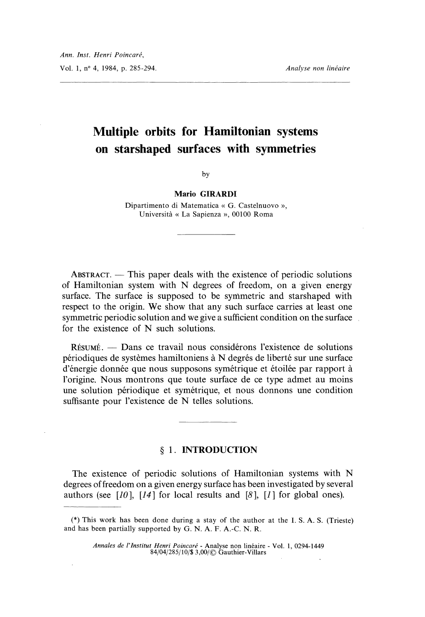## Multiple orbits for Hamiltonian systems on starshaped surfaces with symmetries

by

Mario GIRARDI

Dipartimento di Matematica « G. Castelnuovo », Universita « La Sapienza », 00100 Roma

 $ABSTRACT$ . - This paper deals with the existence of periodic solutions of Hamiltonian system with N degrees of freedom, on a given energy surface. The surface is supposed to be symmetric and starshaped with respect to the origin. We show that any such surface carries at least one symmetric periodic solution and we give a sufficient condition on the surface for the existence of N such solutions.

RÉSUMÉ. - Dans ce travail nous considérons l'existence de solutions périodiques de systèmes hamiltoniens à N degrés de liberté sur une surface d'énergie donnée que nous supposons symétrique et étoilée par rapport à l'origine. Nous montrons que toute surface de ce type admet au moins une solution périodique et symétrique, et nous donnons une condition suffisante pour l'existence de N telles solutions.

#### § I. INTRODUCTION

The existence of periodic solutions of Hamiltonian systems with N degrees of freedom on a given energy surface has been investigated by several authors (see [10], [14] for local results and [8], [1] for global ones).

<sup>(\*)</sup> This work has been done during a stay of the author at the I. S. A. S. (Trieste) and has been partially supported by G. N. A. F. A.-C. N. R.

Annales de l'Institut Henri Poincaré - Analyse non linéaire - Vol. 1, 0294-1449 84/04/285/10/\$ 3,00/ C~ Gauthier-Villars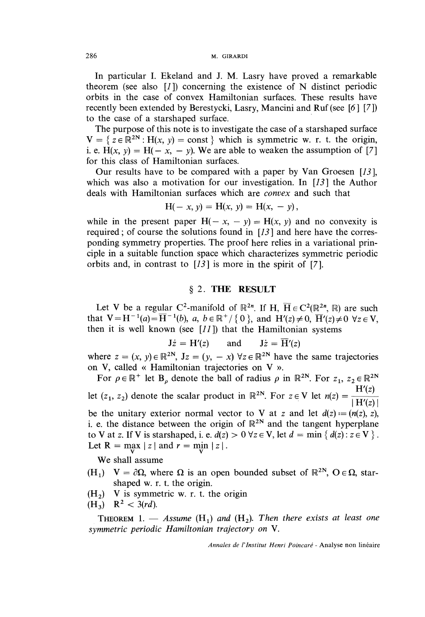In particular I. Ekeland and J. M. Lasry have proved a remarkable theorem (see also  $[1]$ ) concerning the existence of N distinct periodic orbits in the case of convex Hamiltonian surfaces. These results have recently been extended by Berestycki, Lasry, Mancini and Ruf (see [6 ][7]) to the case of a starshaped surface.

The purpose of this note is to investigate the case of a starshaped surface  $V = \{ z \in \mathbb{R}^{2N} : H(x, y) = \text{const} \}$  which is symmetric w. r. t. the origin, i. e. H(x, y) = H(- x, - y). We are able to weaken the assumption of [7] for this class of Hamiltonian surfaces.

Our results have to be compared with a paper by Van Groesen [13 ], which was also a motivation for our investigation. In  $[13]$  the Author deals with Hamiltonian surfaces which are convex and such that

$$
H(- x, y) = H(x, y) = H(x, - y),
$$

while in the present paper  $H(-x, -y) = H(x, y)$  and no convexity is required; of course the solutions found in  $[13]$  and here have the corresponding symmetry properties. The proof here relies in a variational principle in a suitable function space which characterizes symmetric periodic orbits and, in contrast to [13] is more in the spirit of [7].

### § 2. THE RESULT

Let V be a regular C<sup>2</sup>-manifold of  $\mathbb{R}^{2n}$ . If H,  $\overline{H} \in C^2(\mathbb{R}^{2n}, \mathbb{R})$  are such that  $V = H^{-1}(a) = \overline{H}^{-1}(b)$ ,  $a, b \in \mathbb{R}^+ / \{0\}$ , and  $H'(z) \neq 0$ ,  $\overline{H}'(z) \neq 0 \ \forall z \in V$ , then it is well known (see  $[11]$ ) that the Hamiltonian systems

$$
J\dot{z} = H'(z) \quad \text{and} \quad J\dot{z} = \overline{H}'(z)
$$

where  $z = (x, y) \in \mathbb{R}^{2N}$ ,  $Jz = (y, -x) \forall z \in \mathbb{R}^{2N}$  have the same trajectories on V, called « Hamiltonian trajectories on V ».

For  $\rho \in \mathbb{R}^+$  let  $B_\rho$  denote the ball of radius  $\rho$  in  $\mathbb{R}^{2N}$ . For  $z_1, z_2 \in \mathbb{R}^{2N}$ let  $(z_1, z_2)$  denote the scalar product in  $\mathbb{R}^{2N}$ . For  $z \in V$  let  $n(z) = \frac{H'(z)}{|H'(z)|}$ be the unitary exterior normal vector to V at z and let  $d(z) := (n(z), z)$ , i. e. the distance between the origin of  $\mathbb{R}^{2N}$  and the tangent hyperplane to V at z. If V is starshaped, i. e.  $d(z) > 0$   $\forall z \in V$ , let  $d = \min \{ d(z) : z \in V \}$ .<br>Let  $R = \max_{z \in V} |z|$  and  $r = \min_{z \in V} |z|$ .

We shall assume

- $(H_1)$   $V = \partial \Omega$ , where  $\Omega$  is an open bounded subset of  $\mathbb{R}^{2N}$ ,  $O \in \Omega$ , starshaped w. r. t. the origin.
- $(H<sub>2</sub>)$  V is symmetric w. r. t. the origin

$$
(H_3) \quad R^2 < 3\,d).
$$

**THEOREM** 1.  $-$  Assume (H<sub>1</sub>) and (H<sub>2</sub>). Then there exists at least one symmetric periodic Hamiltonian trajectory on V.

Annales de l'lnstitut Henri Poincaré - Analyse non linéaire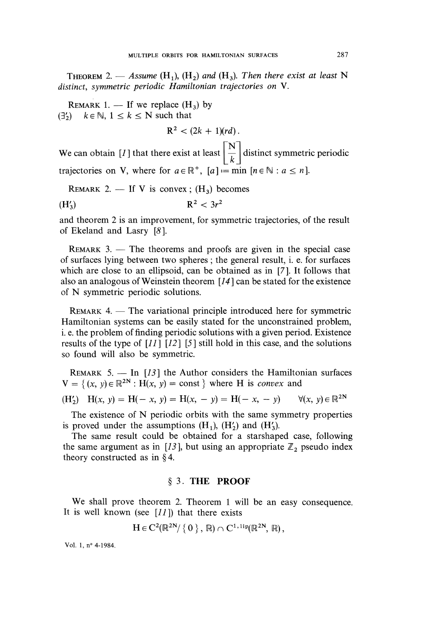THEOREM 2. — Assume  $(H_1)$ ,  $(H_2)$  and  $(H_3)$ . Then there exist at least N distinct, symmetric periodic Hamiltonian trajectories on V.

REMARK 1. — If we replace  $(H_3)$  by  $(3') \quad k \in \mathbb{N}, 1 \leq k \leq N$  such that

 $R^2 < (2k + 1)(rd)$ .

We can obtain [1] that there exist at least  $\left|\frac{N}{k}\right|$  distinct symmetric periodic trajectories on V, where for  $a \in \mathbb{R}^+$ ,  $[a] := \min [n \in \mathbb{N} : a \leq n]$ .

REMARK 2.  $-$  If V is convex;  $(H_3)$  becomes

$$
R^2 < 3r^2
$$

and theorem 2 is an improvement, for symmetric trajectories, of the result of Ekeland and Lasry [8 ].

 $REMARK 3.$  - The theorems and proofs are given in the special case of surfaces lying between two spheres ; the general result, i. e. for surfaces which are close to an ellipsoid, can be obtained as in [7]. It follows that also an analogous of weinstein theorem [14 ] can be stated for the existence of N symmetric periodic solutions.

 $REMARK 4.$  - The variational principle introduced here for symmetric Hamiltonian systems can be easily stated for the unconstrained problem, i. e. the problem of finding periodic solutions with a given period. Existence results of the type of  $\left[11\right]$   $\left[12\right]$   $\left[5\right]$  still hold in this case, and the solutions so found will also be symmetric.

REMARK 5. - In  $[13]$  the Author considers the Hamiltonian surfaces  $V = \{ (x, y) \in \mathbb{R}^{2N} : H(x, y) = \text{const} \}$  where H is convex and

$$
(H'_2) \quad H(x, y) = H(-x, y) = H(x, -y) = H(-x, -y) \qquad \forall (x, y) \in \mathbb{R}^{2N}
$$

The existence of N periodic orbits with the same symmetry properties is proved under the assumptions  $(H_1)$ ,  $(H_2')$  and  $(H_3')$ .

The same result could be obtained for a starshaped case, following the same argument as in [13], but using an appropriate  $\mathbb{Z}_2$  pseudo index theory constructed as in § 4.

### § 3. THE PROOF

We shall prove theorem 2. Theorem 1 will be an easy consequence. It is well known (see  $[11]$ ) that there exists

$$
H\in C^2(\mathbb{R}^{2N}/\{0\},\mathbb{R})\cap C^{1,\text{lip}}(\mathbb{R}^{2N},\mathbb{R}),
$$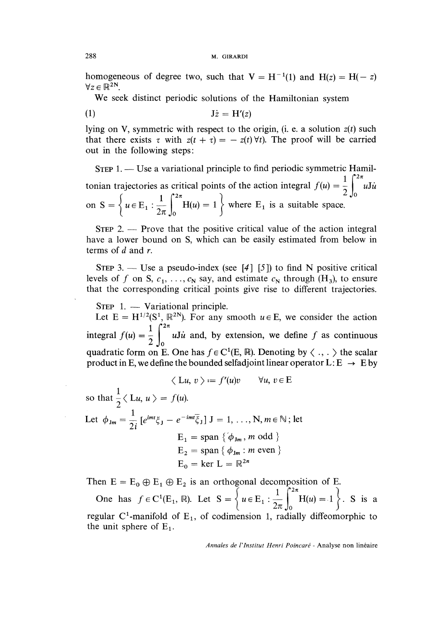#### 288 M. GIRARDI

homogeneous of degree two, such that  $V = H^{-1}(1)$  and  $H(z) = H(-z)$  $\forall z \in \mathbb{R}^{2N}$ .

We seek distinct periodic solutions of the Hamiltonian system

$$
\mathbf{J}\dot{z} = \mathbf{H}'(z)
$$

lying on V, symmetric with respect to the origin, (i. e. a solution  $z(t)$  such that there exists  $\tau$  with  $z(t + \tau) = -z(t) \forall t$ . The proof will be carried out in the following steps:

STEP 1. — Use a variational principle to find periodic symmetric Hamiltonian trajectories as critical points of the action integral  $f(u) = \frac{1}{2} \int_{0}^{2\pi} u \, du$ on  $S = \left\{ u \in E_1 : \frac{1}{2\pi} \int_{0}^{2\pi} H(u) = 1 \right\}$  where  $E_1$  is a suitable space.

 $S$ TEP 2. — Prove that the positive critical value of the action integral have a lower bound on S, which can be easily estimated from below in terms of  $d$  and  $r$ .

STEP 3. — Use a pseudo-index (see [4][5]) to find N positive critical levels of f on S,  $c_1, \ldots, c_N$  say, and estimate  $c_N$  through (H<sub>3</sub>), to ensure that the corresponding critical points give rise to different trajectories.

 $S$ TEP 1. — Variational principle.

Let  $E = H^{1/2}(S^1, \mathbb{R}^{2N})$ . For any smooth  $u \in E$ , we consider the action integral  $f(u) = \frac{1}{2} \int_{0}^{2\pi} u \, du$  and, by extension, we define f as continuous quadratic form on E. One has  $f \in C^1(E, \mathbb{R})$ . Denoting by  $\langle ., . \rangle$  the scalar product in E, we define the bounded selfadjoint linear operator  $L: E \rightarrow E$  by

$$
\langle Lu, v \rangle := f'(u)v \qquad \forall u, v \in E
$$

so that  $\frac{1}{2} \langle \mathcal{L} u, u \rangle = f(u)$ . Let  $\phi_{\text{Jm}} = \frac{1}{2i} \left[ e^{imt} \xi_{\text{J}} - e^{-imt} \overline{\xi}_{\text{J}} \right] \mathbf{J} = 1, ..., N, m \in \mathbb{N}$ ; let  $E_1 = span \{\phi_{Jm}, m \text{ odd }\}$  $E_2 = \text{span} \{ \phi_{\text{Jm}} : m \text{ even } \}$  $E_0 = \text{ker } L = \mathbb{R}^{2n}$ 

Then  $E = E_0 \oplus E_1 \oplus E_2$  is an orthogonal decomposition of E.

One has  $f \in C^1(\mathbb{E}_1, \mathbb{R})$ . Let  $S = \begin{cases} u \in \mathbb{E}_1 : \frac{1}{2\pi} \int_0^{\pi} H(u) = 1 \end{cases}$ . S is a regular  $C^1$ -manifold of  $E_1$ , of codimension 1, radially diffeomorphic to the unit sphere of  $E_1$ .

Annales de l'Institut Henri Poincaré - Analyse non linéaire

'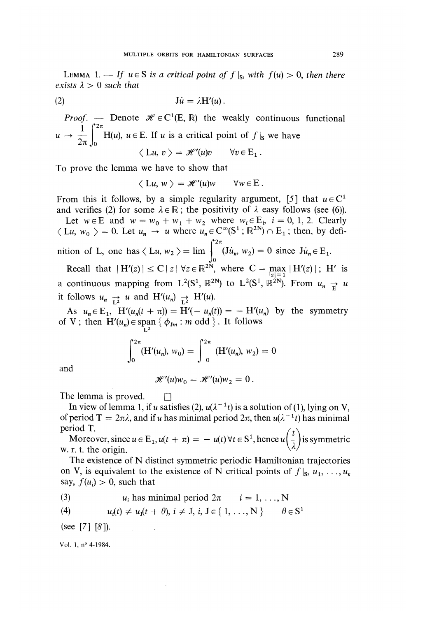LEMMA 1. - If  $u \in S$  is a critical point of  $f|_S$ , with  $f(u) > 0$ , then there exists  $\lambda > 0$  such that

$$
\mathbf{J}\dot{\mathbf{u}} = \lambda \mathbf{H}'(\mathbf{u})\,.
$$

*Proof.* - Denote  $\mathcal{H} \in C^1(E, \mathbb{R})$  the weakly continuous functional  $u \to \frac{1}{2\pi} \int_0^{2\pi} H(u)$ ,  $u \in E$ . If u is a critical point of  $f|_S$  we have

To prove the lemma we have to show that

 $\langle Lu, w \rangle = \mathcal{H}'(u)w \quad \forall w \in E.$ 

From this it follows, by a simple regularity argument, [5] that  $u \in C<sup>1</sup>$ and verifies (2) for some  $\lambda \in \mathbb{R}$ ; the positivity of  $\lambda$  easy follows (see (6)).

Let  $w \in E$  and  $w = w_0 + w_1 + w_2$  where  $w_i \in E_i$ ,  $i = 0, 1, 2$ . Clearly  $\langle Lu, w_0 \rangle = 0$ . Let  $u_n \to u$  where  $u_n \in C^{\infty}(\mathbb{S}^1; \mathbb{R}^{2N}) \cap E_1$ ; then, by definition of L, one has  $\langle Lu, w_2 \rangle = \lim_{\omega \to 0^+} (Ju_n, w_2) = 0$  since  $Ju_n \in E_1$ .

Recall that  $|H'(z)| \leq C |z| \forall z \in \mathbb{R}^{2N}$ , where  $C = \max_{|z|=1} |H'(z)|$ ; H' is a continuous mapping from  $L^2(S^1, \mathbb{R}^{2N})$  to  $L^2(S^1, \mathbb{R}^{2N})$ . From  $u_n \rightleftharpoons u$ it follows  $u_n \rightarrow u$  and  $H'(u_n) \rightarrow H'(u)$ .

As  $u_n \in E_1$ ,  $H'(u_n(t + \pi)) = H'(-u_n(t)) = -H'(u_n)$  by the symmetry of V; then  $H'(u_n) \in \text{span} \{ \phi_{J_m} : m \text{ odd } \}$ . It follows

$$
\int_0^{2\pi} (H'(u_n), w_0) = \int_0^{2\pi} (H'(u_n), w_2) = 0
$$

and

$$
\mathscr{H}'(u)w_0 = \mathscr{H}'(u)w_2 = 0.
$$

The lemma is proved.  $\square$ 

In view of lemma 1, if u satisfies (2),  $u(\lambda^{-1}t)$  is a solution of (1), lying on V, of period  $T = 2\pi\lambda$ , and if u has minimal period  $2\pi$ , then  $u(\lambda^{-1}t)$  has minimal period T.<br>Moreover since  $u \in E$ ,  $u(t + \pi) = u(t) \forall t \in S^1$  hence  $u(t)$ 

Moreover, since  $u \in E_1$ ,  $u(t + \pi) = -u(t) \forall t \in S^1$ , hence  $u\left(\frac{t}{\lambda}\right)$  is symmetric w. r. t. the origin.

W. r. t. the origin.<br>The existence of N distinct symmetric periodic Hamiltonian trajectories on V, is equivalent to the existence of N critical points of  $f|_s$ ,  $u_1, \ldots, u_n$ say,  $f(u_i) > 0$ , such that

(3) 
$$
u_i
$$
 has minimal period  $2\pi$   $i = 1, ..., N$ 

 $\cdot$ 

(4) 
$$
u_i(t) \neq u_j(t + \theta), i \neq J, i, J \in \{1, ..., N\} \qquad \theta \in S^1
$$

(see  $[7]$   $[8]$ ).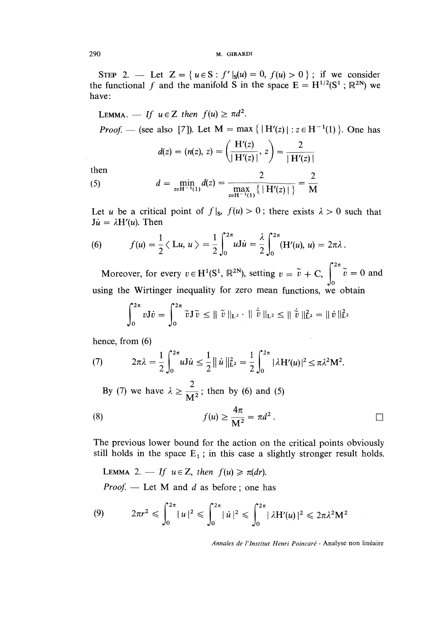STEP 2. - Let  $Z = \{u \in S : f'|_{S}(u) = 0, f(u) > 0\}$ ; if we consider the functional f and the manifold S in the space  $E = H^{1/2}(S^1 : \mathbb{R}^{2N})$  we have:

LEMMA. - If  $u \in Z$  then  $f(u) \geq \pi d^2$ .

*Proof.* — (see also [7]). Let  $M = \max \{ |H'(z)| : z \in H^{-1}(1) \}$ . One has

$$
d(z) = (n(z), z) = \left(\frac{H'(z)}{|H'(z)|}, z\right) = \frac{2}{|H'(z)|}
$$

then

(5) 
$$
d = \min_{z \in H^{-1}(1)} d(z) = \frac{2}{\max_{z \in H^{-1}(1)} \{ |H'(z)| \}} = \frac{2}{M}
$$

Let u be a critical point of  $f|_{s}$ ,  $f(u) > 0$ ; there exists  $\lambda > 0$  such that  $J\dot{u} = \lambda H'(u)$ . Then

(6) 
$$
f(u) = \frac{1}{2} \langle Lu, u \rangle = \frac{1}{2} \int_0^{2\pi} u \, du = \frac{\lambda}{2} \int_0^{2\pi} (H'(u), u) = 2\pi \lambda.
$$

Moreover, for every  $v \in H^1(S^1, \mathbb{R}^{2N})$ , setting  $v = \tilde{v} + C$ ,  $\int_{-\infty}^{2\pi} \tilde{v} = 0$  and  $\int_0$ using the Wirtinger inequality for zero mean functions, we obtain

$$
\int_0^{2\pi} v J \dot{v} = \int_0^{2\pi} \tilde{v} J \tilde{v} \le || \tilde{v} ||_{L^2} \cdot || \dot{\tilde{v}} ||_{L^2} \le || \dot{\tilde{v}} ||_{L^2}^2 = || \dot{v} ||_{L^2}^2
$$

hence, from (6)

(7) 
$$
2\pi\lambda = \frac{1}{2}\int_0^{2\pi} uJ\dot{u} \leq \frac{1}{2} ||\dot{u}||_{L^2}^2 = \frac{1}{2}\int_0^{2\pi} |\lambda H'(u)|^2 \leq \pi\lambda^2 M^2.
$$

By (7) we have  $\lambda \ge \frac{2}{M^2}$ ; then by (6) and (5)

(8) 
$$
f(u) \ge \frac{4\pi}{M^2} = \pi d^2.
$$

The previous lower bound for the action on the critical points obviously still holds in the space  $E_1$ ; in this case a slightly stronger result holds.

LEMMA 2. — If  $u \in Z$ , then  $f(u) \ge \pi(dr)$ .

 $Proof.$  - Let M and d as before; one has

(9) 
$$
2\pi r^2 \leqslant \int_0^{2\pi} |u|^2 \leqslant \int_0^{2\pi} |u|^2 \leqslant \int_0^{2\pi} |\lambda H'(u)|^2 \leqslant 2\pi \lambda^2 M^2
$$

Annales de l'Institut Henri Poincaré - Analyse non linéaire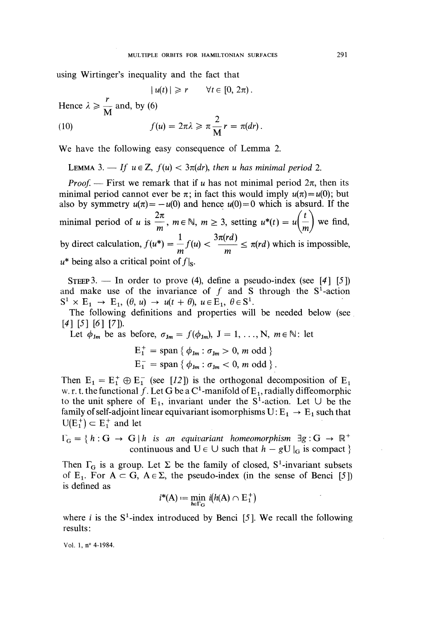using Wirtinger's inequality and the fact that

 $|u(t)| \geqslant r$  $\forall t \in [0, 2\pi)$ .

Hence  $\lambda \ge \frac{r}{M}$  and, by (6)

(10) 
$$
f(u) = 2\pi\lambda \geqslant \pi \frac{2}{M} r = \pi(dr).
$$

We have the following easy consequence of Lemma 2.

LEMMA 3.  $\longrightarrow$  If  $u \in \mathbb{Z}$ ,  $f(u) < 3\pi(dr)$ , then u has minimal period 2.

*Proof.* — First we remark that if u has not minimal period  $2\pi$ , then its minimal period cannot ever be  $\pi$ ; in fact this would imply  $u(\pi) = u(0)$ ; but also by symmetry  $u(\pi) = -u(0)$  and hence  $u(0) = 0$  which is absurd. If the minimal period of u is  $\frac{2\pi}{m}$ ,  $m \in \mathbb{N}$ ,  $m \geq 3$ , setting  $u^*(t) = u \left( \frac{t}{m} \right)$  we find, by direct calculation,  $f(u^*) = \frac{1}{m} f(u) < \frac{3\pi (rd)}{m} \le \pi (rd)$  which is impossible,  $u^*$  being also a critical point of  $f|_{S}$ .

STEEP 3. — In order to prove (4), define a pseudo-index (see  $[4]$  [5]) and make use of the invariance of  $f$  and S through the  $S<sup>1</sup>$ -action  $S^1 \times E_1 \rightarrow E_1$ ,  $(\theta, u) \rightarrow u(t + \theta)$ ,  $u \in E_1$ ,  $\theta \in S^1$ .

The following definitions and properties will be needed below (see  $[4] [5] [6] [7]$ .

Let 
$$
\phi_{Jm}
$$
 be as before,  $\sigma_{Jm} = f(\phi_{Jm})$ ,  $J = 1, ..., N$ ,  $m \in \mathbb{N}$ : let

$$
E_1^+ = \text{span} \{ \phi_{Jm} : \sigma_{Jm} > 0, m \text{ odd } \}
$$
  

$$
E_1^- = \text{span} \{ \phi_{Jm} : \sigma_{Jm} < 0, m \text{ odd } \}.
$$

Then  $E_1 = E_1^+ \oplus E_1^-$  (see [12]) is the orthogonal decomposition of  $E_1$ w. r. t. the functional f. Let G be a C<sup>1</sup>-manifold of E<sub>1</sub>, radially diffeomorphic to the unit sphere of E<sub>1</sub>, invariant under the S<sup>1</sup>-action. Let  $\cup$  be the family of self-adjoint linear equivariant isomorphisms  $U: E_1 \rightarrow E_1$  such that  $U(E_1^+) \subset E_1^+$  and let

 $\Gamma_G = \{h : G \to G \mid h \text{ is an equivariant homeomorphism } \exists g : G \to \mathbb{R}^+$ continuous and  $U \in \bigcup$  such that  $h - gU|_G$  is compact }

Then  $\Gamma_G$  is a group. Let  $\Sigma$  be the family of closed, S<sup>1</sup>-invariant subsets of E<sub>1</sub>. For  $A \subset G$ ,  $A \in \Sigma$ , the pseudo-index (in the sense of Benci [5]) is defined as

$$
i^*(A) := \min_{h \in \Gamma_G} i(h(A) \cap E_1^+)
$$

where *i* is the  $S^1$ -index introduced by Benci [5]. We recall the following results :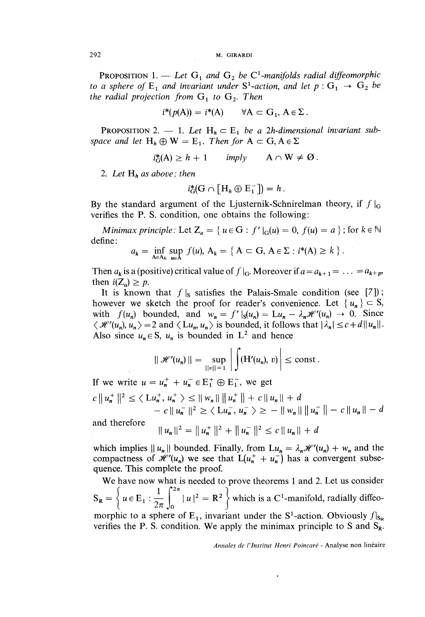PROPOSITION 1. — Let  $G_1$  and  $G_2$  be  $C^1$ -manifolds radial diffeomorphic to a sphere of  $E_1$  and invariant under  $S^1$ -action, and let  $p: G_1 \rightarrow G_2$  be the radial projection from  $G_1$  to  $G_2$ . Then

$$
i^*(p(A)) = i^*(A) \qquad \forall A \subset G_1, A \in \Sigma.
$$

PROPOSITION 2.  $-$  1. Let H<sub>h</sub>  $\subset$  E<sub>1</sub> be a 2h-dimensional invariant subspace and let  $H_h \oplus W = E_1$ . Then for  $A \subset G, A \in \Sigma$ 

$$
i_{\mathcal{G}}^*(A) \geq h + 1
$$
 imply  $A \cap W \neq \emptyset$ .

2. Let  $H_h$  as above; then

$$
i_{\mathcal{G}}^* (G \cap [H_h \oplus E_1^-]) = h.
$$

By the standard argument of the Ljusternik-Schnirelman theory, if  $f|_G$ verifies the P. S. condition, one obtains the following:

Minimax principle: Let  $Z_a = \{ u \in G : f' \mid G(u) = 0, f(u) = a \}$ ; for  $k \in \mathbb{N}$ define:

$$
a_k = \inf_{A \in A_k} \sup_{u \in A} f(u), A_k = \{ A \subset G, A \in \Sigma : i^*(A) \ge k \}.
$$

Then  $a_k$  is a (positive) critical value of  $f|_G$ . Moreover if  $a = a_{k+1} = \ldots = a_{k+p}$ then  $i(Z_a) \geq p$ .

It is known that  $f|_{s}$  satisfies the Palais-Smale condition (see [7]); however we sketch the proof for reader's convenience. Let  $\{u_n\} \subset S$ , with  $f(u_n)$  bounded, and  $w_n = f'|_{S}(u_n) = Lu_n - \lambda_n \mathcal{H}'(u_n) \to 0$ . Since  $\langle \mathcal{H}'(u_n), u_n \rangle = 2$  and  $\langle Lu_n, u_n \rangle$  is bounded, it follows that  $|\lambda_n| \leq c + d ||u_n||$ . Also since  $u_n \in S$ ,  $u_n$  is bounded in  $L^2$  and hence

$$
\|\mathcal{H}'(u_n)\| = \sup_{\|v\|=1} \left| \int (H'(u_n), v) \right| \leq \text{const}.
$$

If we write  $u = u_n^+ + u_n^- \in E_1^+ \oplus E_1^-$ , we get  $c \parallel u_n^+ \parallel^2 \ \le \ \ \le \ \ \left\lfloor u_n^+, u_n^+ \ \right\rfloor \le \ \ \ \left\lfloor w_n \right\rfloor \ \ \left\lfloor u_n^+ \right\rfloor \ \ \left\lfloor u_n \right\rfloor + d$  $- c ||u_n^-||^2 \ge \langle Lu_n^-, u_n^- \rangle \ge - ||w_n|| ||u_n^-|| - c ||u_n|| - d$ 

and therefore

$$
||u_n||^2 = ||u_n^+||^2 + ||u_n^-||^2 \le c ||u_n|| + d
$$

which implies  $||u_n||$  bounded. Finally, from  $Lu_n = \lambda_n \mathcal{H}'(u_n) + w_n$  and the compactness of  $\mathcal{H}'(u_n)$  we see that  $L(u_n^+ + u_n^-)$  has a convergent subsequence. This complete the proof.

We have now what is needed to prove theorems 1 and 2. Let us consider  $S_{\mathbf{R}} = \left\{ u \in \mathbf{E}_1 : \frac{1}{2\pi} \int_0^{2\pi} |u|^2 = \mathbf{R}^2 \right\}$  which is a C<sup>1</sup>-manifold, radially diffeomorphic to a sphere of E<sub>1</sub>, invariant under the S<sup>1</sup>-action. Obviously  $f|_{S_R}$ verifies the P. S. condition. We apply the minimax principle to S and  $S_R$ .

Annales de l'Institut Henri Poincaré - Analyse non linéaire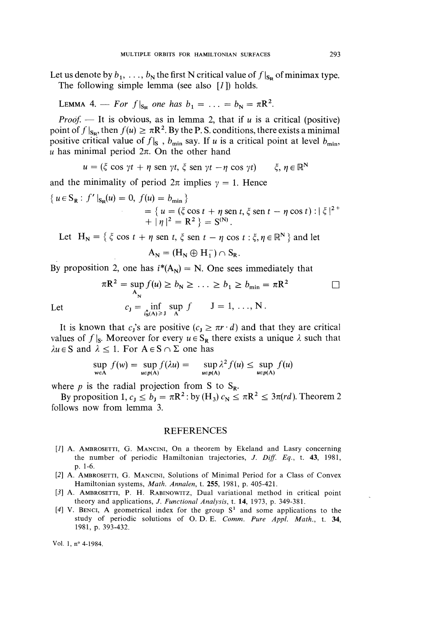Let us denote by  $b_1, \ldots, b_N$  the first N critical value of  $f|_{S_R}$  of minimax type. The following simple lemma (see also  $[1]$ ) holds.

LEMMA 4. - For  $f|_{S_p}$  one has  $b_1 = \ldots = b_N = \pi R^2$ .

*Proof.* — It is obvious, as in lemma 2, that if u is a critical (positive) point of  $f|_{S_{\mathbf{p}}}$ , then  $f(u) \geq \pi R^2$ . By the P. S. conditions, there exists a minimal positive critical value of  $f|_{S}$ ,  $b_{min}$  say. If u is a critical point at level  $b_{min}$ , u has minimal period  $2\pi$ . On the other hand

$$
u = (\xi \cos \gamma t + \eta \sin \gamma t, \xi \sin \gamma t - \eta \cos \gamma t) \qquad \xi, \eta \in \mathbb{R}^N
$$

and the minimality of period  $2\pi$  implies  $\gamma = 1$ . Hence

$$
\{ u \in S_{\mathbf{R}} : f' \mid_{S_{\mathbf{R}}}(u) = 0, f(u) = b_{\min} \}
$$
  
= 
$$
\{ u = (\xi \cos t + \eta \sin t, \xi \sin t - \eta \cos t) : |\xi|^{2+}
$$
  
+ 
$$
|\eta|^{2} = \mathbf{R}^{2} \} = \mathbf{S}^{(N)}.
$$

Let  $H_N = \{ \xi \cos t + \eta \text{ sen } t, \xi \text{ sen } t - \eta \cos t : \xi, \eta \in \mathbb{R}^N \}$  and let

$$
A_N = (H_N \oplus H_1^-) \cap S_R
$$

By proposition 2, one has  $i^*(A_N) = N$ . One sees immediately that

$$
\pi \mathbb{R}^2 = \sup_{\mathbf{A}_{\mathbf{N}}} f(u) \ge b_{\mathbf{N}} \ge \dots \ge b_1 \ge b_{\min} = \pi \mathbb{R}^2
$$
  

$$
c_{\mathbf{J}} = \inf_{\substack{i_{\mathbf{S}}(\mathbf{A}) \ge \mathbf{J} \\ \mathbf{A}}} \sup_{\mathbf{A}} f \qquad \mathbf{J} = 1, \dots, \mathbf{N}.
$$

Let

It is known that  $c_1$ 's are positive  $(c_1 \geq \pi r \cdot d)$  and that they are critical values of  $f|_S$ . Moreover for every  $u \in S_R$  there exists a unique  $\lambda$  such that  $\lambda u \in S$  and  $\lambda \leq 1$ . For  $A \in S \cap \Sigma$  one has

$$
\sup_{w \in A} f(w) = \sup_{u \in p(A)} f(\lambda u) = \sup_{u \in p(A)} \lambda^2 f(u) \le \sup_{u \in p(A)} f(u)
$$

where  $p$  is the radial projection from S to  $S_R$ .

By proposition 1,  $c_J \le b_J = \pi R^2$ : by  $(H_3) c_N \le \pi R^2 \le 3\pi (rd)$ . Theorem 2 follows now from lemma 3.

#### REFERENCES

- [1] A. AMBROSETTI, G. MANCINI, On a theorem by Ekeland and Lasry concerning the number of periodic Hamiltonian trajectories, J. Diff. Eq., t. 43, 1981, p. 1-6.
- [2] A. AMBROSETTI, G. MANCINI, Solutions of Minimal Period for a Class of Convex Hamiltonian systems, Math. Annalen, t. 255, 1981, p. 405-421.
- [3] A. AMBROSETTI, P. H. RABINOWITZ, Dual variational method in critical point theory and applications, J. Functional Analysis, t. 14, 1973, p. 349-381.
- [4] V. BENCI, A geometrical index for the group  $S<sup>1</sup>$  and some applications to the study of periodic solutions of O. D. E. Comm. Pure Appl. Math., t. 34, 1981, p. 393-432.